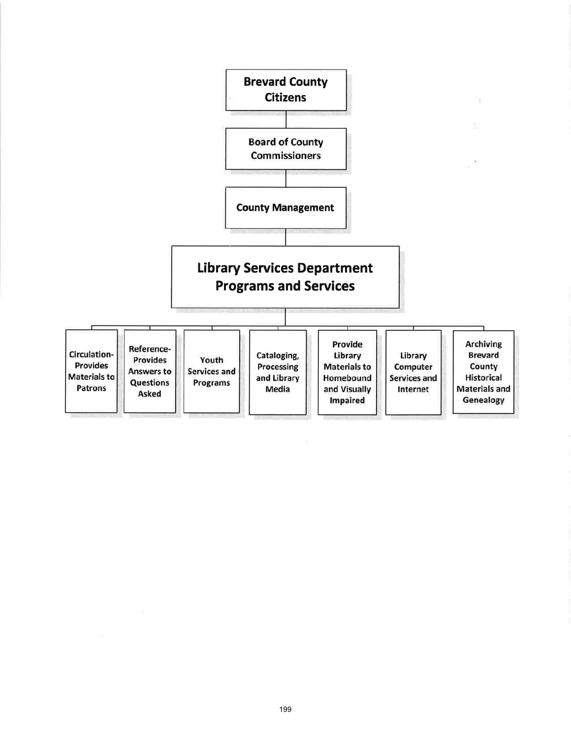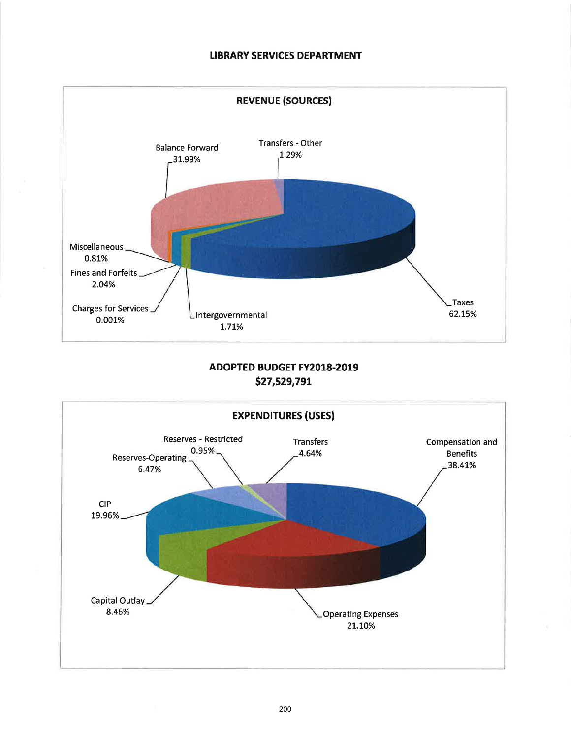### LIBRARY SERVICES DEPARTMENT



## ADOPTED BUDGET FY2018.2019 527,s29,791

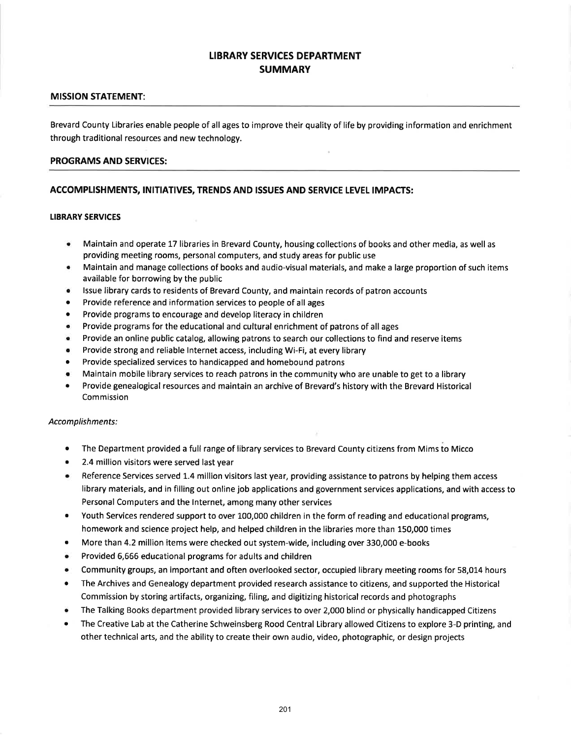### LIBRARY SERVICES DEPARTMENT **SUMMARY**

#### MISSION STATEMENT:

Brevard County Libraries enable people of all ages to improve their quality of life by providing information and enrichment through traditional resources and new technology.

#### PROGRAMS AND SERVICES:

### ACCOMPLISHMENTS, INITIATIVES, TRENDS AND ISSUES AND SERVICE LEVEL IMPACTS:

#### LIBRARY SERVICES

- e Maintain and operate 17 libraries in Brevard County, housing collections of books and other media, as well as providing meeting rooms, personal computers, and study areas for public use
- Maintain and manage collections of books and audio-visual materials, and make a large proportion of such items available for borrowing by the public
- . lssue library cards to residents of Brevard County, and maintain records of patron accounts
- Provide reference and information services to people of all ages
- Provide programs to encourage and develop literacy in children
- Provide programs for the educational and cultural enrichment of patrons of all ages
- Provide an online public catalog, allowing patrons to search our collections to find and reserve items
- Provide strong and reliable Internet access, including Wi-Fi, at every library
- Provide specialized services to handicapped and homebound patrons
- Maintain mobile library services to reach patrons in the community who are unable to get to a library
- Provide genealogical resources and maintain an archive of Brevard's history with the Brevard Historical Commission

#### Accomplishments:

- The Department provided a full range of library services to Brevard County citizens from Mims to Micco
- 2.4 million visitors were served last year
- Reference Services served 1.4 million visitors last year, providing assistance to patrons by helping them access library materials, and in filling out online job applications and government services applications, and with access to Personal Computers and the lnternet, among many other services
- Youth Services rendered support to over 100,000 children in the form of reading and educational programs, homework and science project help, and helped children in the libraries more than 150,000 times
- More than 4.2 million items were checked out system-wide, including over 330,000 e-books
- Provided 6,666 educational programs for adults and children
- Community groups, an important and often overlooked sector, occupied library meeting rooms for 58,014 hours
- The Archives and Genealogy department provided research assistance to citizens, and supported the Historical Commission by storing artifacts, organizing, filing, and digitizing historical records and photographs
- The Talking Books department provided library services to over 2,000 blind or physically handicapped Citizens
- The Creative Lab at the Catherine Schweinsberg Rood Central Library allowed Citizens to explore 3-D printing, and other technical arts, and the ability to create their own audio, video, photographic, or design projects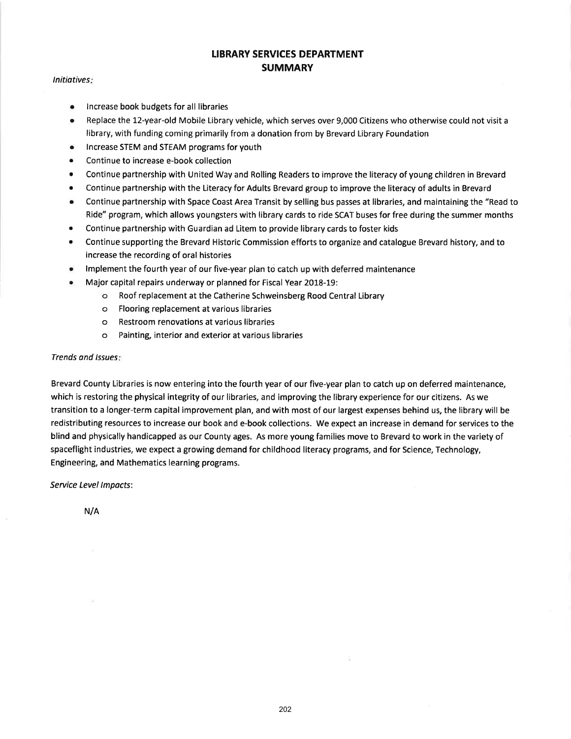### LIBRARY SERVICES DEPARTMENT **SUMMARY**

#### lnitiotives

- . lncrease book budgets for all libraries
- o Replace the 12-year-old Mobile Library vehicle, which serves over 9,000 Citizens who otherwise could not visit <sup>a</sup> library, with funding coming primarily from a donation from by Brevard Library Foundation
- . lncrease STEM and STEAM programs for youth
- Continue to increase e-book collection
- Continue partnership with United Way and Rolling Readers to improve the literacy of young children in Brevard
- Continue partnership with the Literacy for Adults Brevard group to improve the literacy of adults in Brevard
- Continue partnership with Space Coast Area Transit by selling bus passes at libraries, and maintaining the "Read to Ride" program, which allows youngsters with library cards to ride SCAT buses for free during the summer months
- Continue partnership with Guardian ad Litem to provide library cards to foster kids
- Continue supporting the Brevard Historic Commission efforts to organize and catalogue Brevard history, and to increase the recording of oral histories
- Implement the fourth year of our five-year plan to catch up with deferred maintenance
- . Major capital repairs underway or planned for Fiscal Year 2018-19:
	- o Roof replacement at the Catherine Schweinsberg Rood Central Library
	- o Flooring replacement at various libraries
	- o Restroom renovations at various libraries
	- o Painting, interior and exterior at various libraries

#### Trends and lssues

Brevard County Libraries is now entering into the fourth year of our five-year plan to catch up on deferred maintenance, which is restoring the physical integrity of our libraries, and improving the library experience for our citizens. As we transition to a longer-term capital improvement plan, and with most of our largest expenses behind us, the library will be redistributing resources to increase our book and e-book collections. We expect an increase in demand for services to the blind and physically handicapped as our County ages. As more young families move to Brevard to work in the variety of spaceflight industries, we expect a growing demand for childhood literacy programs, and for Science, Technology, Engineering, and Mathematics learning programs.

Service Level lmpacts:

N/A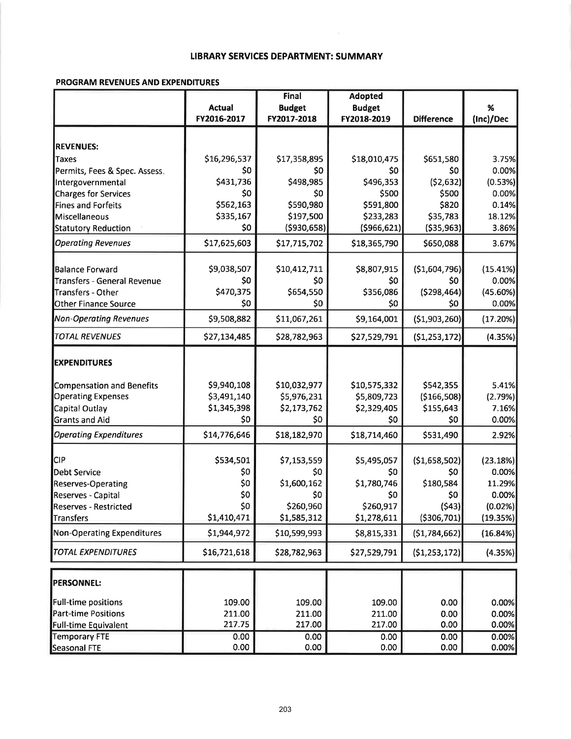### **LIBRARY SERVICES DEPARTMENT: SUMMARY**

#### PROGRAM REVENUES AND EXPENDITURES

|                                                    |               | Final         | <b>Adopted</b> |                        |           |
|----------------------------------------------------|---------------|---------------|----------------|------------------------|-----------|
|                                                    | <b>Actual</b> | <b>Budget</b> | <b>Budget</b>  |                        | $\%$      |
|                                                    | FY2016-2017   | FY2017-2018   | FY2018-2019    | <b>Difference</b>      | (Inc)/Dec |
|                                                    |               |               |                |                        |           |
| <b>REVENUES:</b>                                   |               |               |                |                        |           |
| Taxes                                              | \$16,296,537  | \$17,358,895  | \$18,010,475   | \$651,580              | 3.75%     |
| Permits, Fees & Spec. Assess.                      | \$0           | \$0           | \$0            | \$0                    | 0.00%     |
| Intergovernmental                                  | \$431,736     | \$498,985     | \$496,353      | (52, 632)              | (0.53%)   |
| Charges for Services                               | \$0           | \$0           | \$500          | \$500                  | 0.00%     |
| Fines and Forfeits                                 | \$562,163     | \$590,980     | \$591,800      | \$820                  | 0.14%     |
| Miscellaneous                                      | \$335,167     | \$197,500     | \$233,283      | \$35,783               | 18.12%    |
| <b>Statutory Reduction</b>                         | \$0           | ( \$930, 658) | ( \$966, 621)  | ( \$35, 963]           | 3.86%     |
| <b>Operating Revenues</b>                          | \$17,625,603  | \$17,715,702  | \$18,365,790   | \$650,088              | 3.67%     |
| <b>Balance Forward</b>                             | \$9,038,507   | \$10,412,711  | \$8,807,915    | (51,604,796)           | (15.41%)  |
| <b>Transfers - General Revenue</b>                 | \$0           | \$0           | \$0            | \$0                    | 0.00%     |
| Transfers - Other                                  | \$470,375     | \$654,550     | \$356,086      | ( \$298,464)           | (45.60%)  |
| <b>Other Finance Source</b>                        | \$0           | \$0           | \$0            | \$0                    | 0.00%     |
| <b>Non-Operating Revenues</b>                      | \$9,508,882   | \$11,067,261  | \$9,164,001    | (\$1,903,260)          | (17.20%)  |
| <b>TOTAL REVENUES</b>                              | \$27,134,485  | \$28,782,963  | \$27,529,791   | (51, 253, 172)         | (4.35%)   |
|                                                    |               |               |                |                        |           |
| <b>EXPENDITURES</b>                                |               |               |                |                        |           |
| <b>Compensation and Benefits</b>                   | \$9,940,108   | \$10,032,977  | \$10,575,332   | \$542,355              | 5.41%     |
| <b>Operating Expenses</b>                          | \$3,491,140   | \$5,976,231   | \$5,809,723    | ( \$166, 508]          | (2.79%)   |
| Capital Outlay                                     | \$1,345,398   | \$2,173,762   | \$2,329,405    | \$155,643              | 7.16%     |
| <b>Grants and Aid</b>                              | \$0           | \$0           | \$0            | \$0                    | 0.00%     |
| <b>Operating Expenditures</b>                      | \$14,776,646  | \$18,182,970  | \$18,714,460   | \$531,490              | 2.92%     |
| <b>CIP</b>                                         | \$534,501     | \$7,153,559   | \$5,495,057    | (\$1,658,502)]         | (23.18%)  |
| <b>Debt Service</b>                                | \$0           | \$0           | \$0            | \$0                    | 0.00%     |
| <b>Reserves-Operating</b>                          | \$0           | \$1,600,162   | \$1,780,746    | \$180,584              | 11.29%    |
|                                                    | \$0           | \$0           | \$0            | \$0                    | 0.00%     |
| Reserves - Capital<br><b>Reserves - Restricted</b> | \$0           | \$260,960     | \$260,917      |                        | (0.02%)   |
|                                                    | \$1,410,471   | \$1,585,312   | \$1,278,611    | (543)<br>( \$306, 701] | (19.35%)  |
| Transfers<br><b>Non-Operating Expenditures</b>     | \$1,944,972   | \$10,599,993  | \$8,815,331    | ( \$1,784,662]         | (16.84%)  |
| <b>TOTAL EXPENDITURES</b>                          | \$16,721,618  | \$28,782,963  | \$27,529,791   | (51, 253, 172)         | (4.35%)   |
|                                                    |               |               |                |                        |           |
| <b>PERSONNEL:</b>                                  |               |               |                |                        |           |
| Full-time positions                                | 109.00        | 109.00        | 109.00         | 0.00                   | 0.00%     |
| <b>Part-time Positions</b>                         | 211.00        | 211.00        | 211.00         | 0.00                   | 0.00%     |
| <b>Full-time Equivalent</b>                        | 217.75        | 217.00        | 217.00         | 0.00                   | 0.00%     |
| <b>Temporary FTE</b>                               | 0.00          | 0.00          | 0.00           | 0.00                   | 0.00%     |
| Seasonal FTE                                       | 0.00          | 0.00          | 0.00           | 0.00                   | 0.00%     |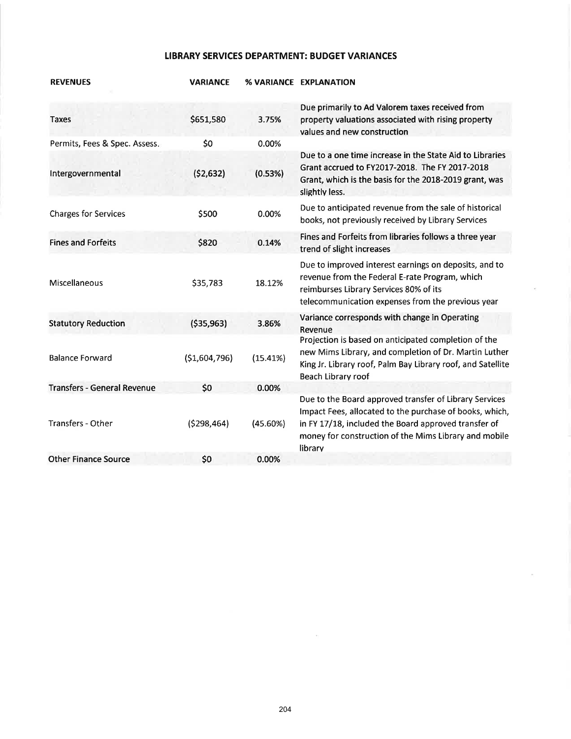### LIBRARY SERVICES DEPARTMENT: BUDGET VARIANCES

| <b>REVENUES</b>                    | <b>VARIANCE</b> |          | % VARIANCE EXPLANATION                                                                                                                                                                                                                        |
|------------------------------------|-----------------|----------|-----------------------------------------------------------------------------------------------------------------------------------------------------------------------------------------------------------------------------------------------|
| <b>Taxes</b>                       | \$651,580       | 3.75%    | Due primarily to Ad Valorem taxes received from<br>property valuations associated with rising property<br>values and new construction                                                                                                         |
| Permits, Fees & Spec. Assess.      | \$0             | 0.00%    |                                                                                                                                                                                                                                               |
| Intergovernmental                  | (52, 632)       | (0.53%)  | Due to a one time increase in the State Aid to Libraries<br>Grant accrued to FY2017-2018. The FY 2017-2018<br>Grant, which is the basis for the 2018-2019 grant, was<br>slightly less.                                                        |
| <b>Charges for Services</b>        | \$500           | 0.00%    | Due to anticipated revenue from the sale of historical<br>books, not previously received by Library Services                                                                                                                                  |
| <b>Fines and Forfeits</b>          | \$820           | 0.14%    | Fines and Forfeits from libraries follows a three year<br>trend of slight increases                                                                                                                                                           |
| Miscellaneous                      | \$35,783        | 18.12%   | Due to improved interest earnings on deposits, and to<br>revenue from the Federal E-rate Program, which<br>reimburses Library Services 80% of its<br>telecommunication expenses from the previous year                                        |
| <b>Statutory Reduction</b>         | ( \$35, 963)    | 3.86%    | Variance corresponds with change in Operating<br>Revenue                                                                                                                                                                                      |
| <b>Balance Forward</b>             | (51,604,796)    | (15.41%) | Projection is based on anticipated completion of the<br>new Mims Library, and completion of Dr. Martin Luther<br>King Jr. Library roof, Palm Bay Library roof, and Satellite<br>Beach Library roof                                            |
| <b>Transfers - General Revenue</b> | \$0             | 0.00%    |                                                                                                                                                                                                                                               |
| Transfers - Other                  | (5298, 464)     | (45.60%) | Due to the Board approved transfer of Library Services<br>Impact Fees, allocated to the purchase of books, which,<br>in FY 17/18, included the Board approved transfer of<br>money for construction of the Mims Library and mobile<br>library |
| <b>Other Finance Source</b>        | \$0             | 0.00%    |                                                                                                                                                                                                                                               |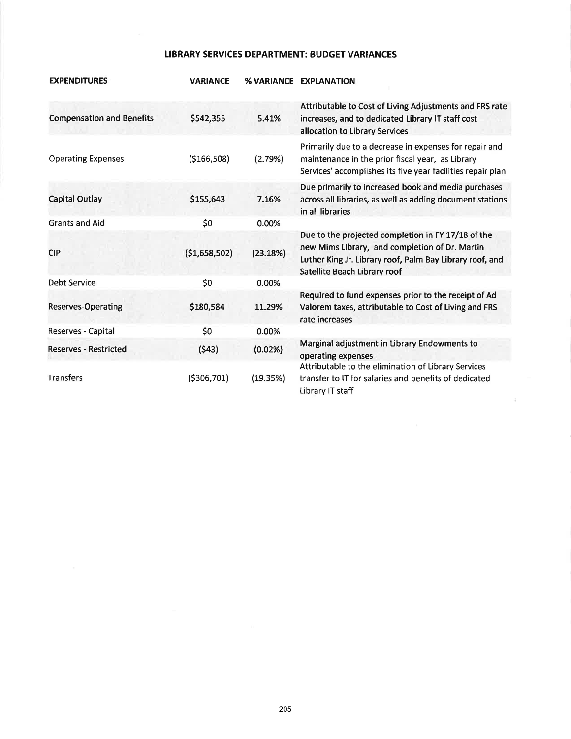### **LIBRARY SERVICES DEPARTMENT: BUDGET VARIANCES**

| <b>EXPENDITURES</b>              | <b>VARIANCE</b> |          | % VARIANCE EXPLANATION                                                                                                                                                                           |
|----------------------------------|-----------------|----------|--------------------------------------------------------------------------------------------------------------------------------------------------------------------------------------------------|
| <b>Compensation and Benefits</b> | \$542,355       | 5.41%    | Attributable to Cost of Living Adjustments and FRS rate<br>increases, and to dedicated Library IT staff cost<br>allocation to Library Services                                                   |
| <b>Operating Expenses</b>        | ( \$166, 508)   | (2.79%)  | Primarily due to a decrease in expenses for repair and<br>maintenance in the prior fiscal year, as Library<br>Services' accomplishes its five year facilities repair plan                        |
| Capital Outlay                   | \$155,643       | 7.16%    | Due primarily to increased book and media purchases<br>across all libraries, as well as adding document stations<br>in all libraries                                                             |
| <b>Grants and Aid</b>            | \$0             | 0.00%    |                                                                                                                                                                                                  |
| <b>CIP</b>                       | (51,658,502)    | (23.18%) | Due to the projected completion in FY 17/18 of the<br>new Mims Library, and completion of Dr. Martin<br>Luther King Jr. Library roof, Palm Bay Library roof, and<br>Satellite Beach Library roof |
| Debt Service                     | \$0             | 0.00%    |                                                                                                                                                                                                  |
| <b>Reserves-Operating</b>        | \$180,584       | 11.29%   | Required to fund expenses prior to the receipt of Ad<br>Valorem taxes, attributable to Cost of Living and FRS<br>rate increases                                                                  |
| Reserves - Capital               | \$0             | 0.00%    |                                                                                                                                                                                                  |
| <b>Reserves - Restricted</b>     | (543)           | (0.02%)  | Marginal adjustment in Library Endowments to<br>operating expenses                                                                                                                               |
| <b>Transfers</b>                 | ( \$306, 701)   | (19.35%) | Attributable to the elimination of Library Services<br>transfer to IT for salaries and benefits of dedicated<br>Library IT staff                                                                 |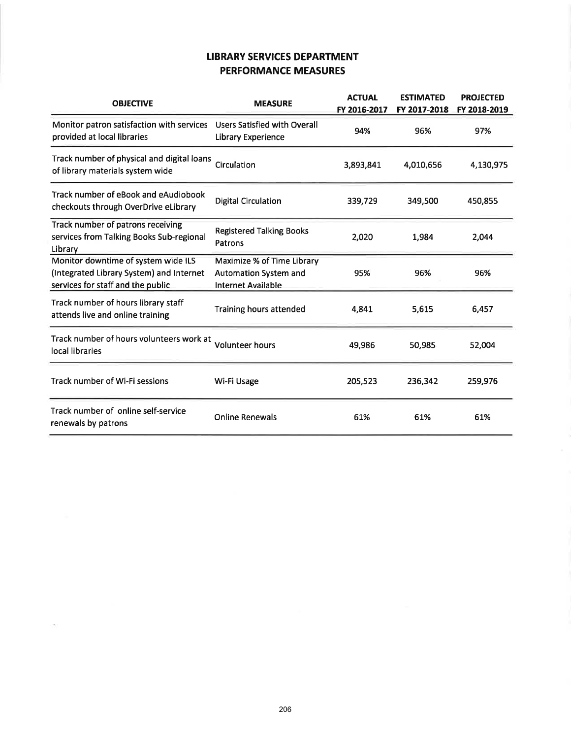## LIBRARY SERVICES DEPARTMENT PERFORMANCE MEASURES

| <b>OBJECTIVE</b>                                                                                                     | <b>MEASURE</b>                                                                   | <b>ACTUAL</b><br>FY 2016-2017 | <b>ESTIMATED</b><br>FY 2017-2018 | <b>PROJECTED</b><br>FY 2018-2019 |
|----------------------------------------------------------------------------------------------------------------------|----------------------------------------------------------------------------------|-------------------------------|----------------------------------|----------------------------------|
| Monitor patron satisfaction with services<br>provided at local libraries                                             | <b>Users Satisfied with Overall</b><br>Library Experience                        | 94%                           | 96%                              | 97%                              |
| Track number of physical and digital loans<br>of library materials system wide                                       | Circulation                                                                      | 3,893,841                     | 4,010,656                        | 4,130,975                        |
| Track number of eBook and eAudiobook<br>checkouts through OverDrive eLibrary                                         | <b>Digital Circulation</b>                                                       | 339,729                       | 349,500                          | 450,855                          |
| Track number of patrons receiving<br>services from Talking Books Sub-regional<br>Library                             | <b>Registered Talking Books</b><br>Patrons                                       | 2,020                         | 1,984                            | 2,044                            |
| Monitor downtime of system wide ILS<br>(Integrated Library System) and Internet<br>services for staff and the public | Maximize % of Time Library<br>Automation System and<br><b>Internet Available</b> | 95%                           | 96%                              | 96%                              |
| Track number of hours library staff<br>attends live and online training                                              | <b>Training hours attended</b>                                                   | 4,841                         | 5,615                            | 6,457                            |
| Track number of hours volunteers work at<br>local libraries                                                          | <b>Volunteer hours</b>                                                           | 49,986                        | 50,985                           | 52,004                           |
| Track number of Wi-Fi sessions                                                                                       | Wi-Fi Usage                                                                      | 205,523                       | 236,342                          | 259,976                          |
| Track number of online self-service<br>renewals by patrons                                                           | <b>Online Renewals</b>                                                           | 61%                           | 61%                              | 61%                              |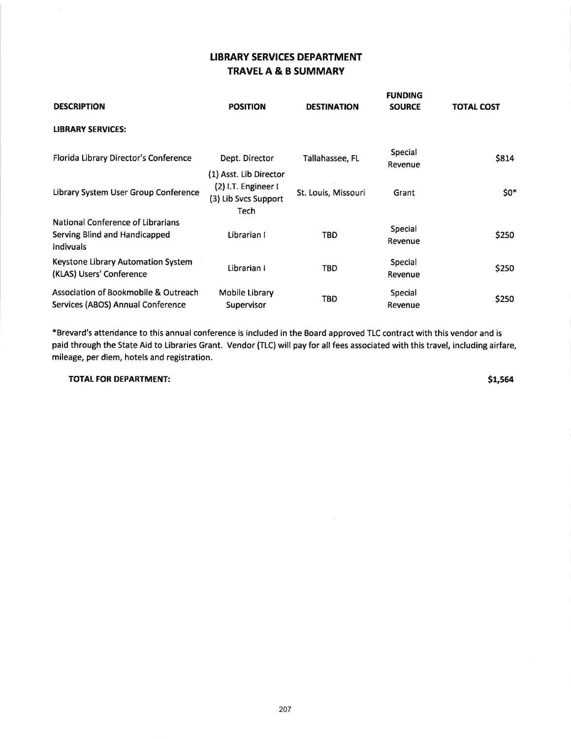## LIBRARY SERVICES DEPARTMENT TRAVELA & B SUMMARY

| <b>DESCRIPTION</b>                                                                     | <b>POSITION</b>                                                               | <b>DESTINATION</b>  | <b>FUNDING</b><br><b>SOURCE</b> | <b>TOTAL COST</b> |
|----------------------------------------------------------------------------------------|-------------------------------------------------------------------------------|---------------------|---------------------------------|-------------------|
| <b>LIBRARY SERVICES:</b>                                                               |                                                                               |                     |                                 |                   |
| Florida Library Director's Conference                                                  | Dept. Director                                                                | Tallahassee, FL     | Special<br>Revenue              | \$814             |
| Library System User Group Conference                                                   | (1) Asst. Lib Director<br>(2) I.T. Engineer I<br>(3) Lib Svcs Support<br>Tech | St. Louis, Missouri | Grant                           | $50*$             |
| National Conference of Librarians<br>Serving Blind and Handicapped<br><b>Indivuals</b> | Librarian I                                                                   | TBD                 | Special<br>Revenue              | \$250             |
| Keystone Library Automation System<br>(KLAS) Users' Conference                         | Librarian I                                                                   | <b>TBD</b>          | Special<br>Revenue              | \$250             |
| Association of Bookmobile & Outreach<br>Services (ABOS) Annual Conference              | Mobile Library<br><b>Supervisor</b>                                           | TBD                 | Special<br>Revenue              | \$250             |

\*Brevard's attendance to this annual conference is included in the Board approved TLC contract with this vendor and is paid through the State Aid to Libraries Grant. Vendor (TLC) will pay for all fees associated with this travel, including airfare, mileage, per diem, hotels and registration.

TOTAL FOR DEPARTMENT: S1,564

 $\mathbf{V}$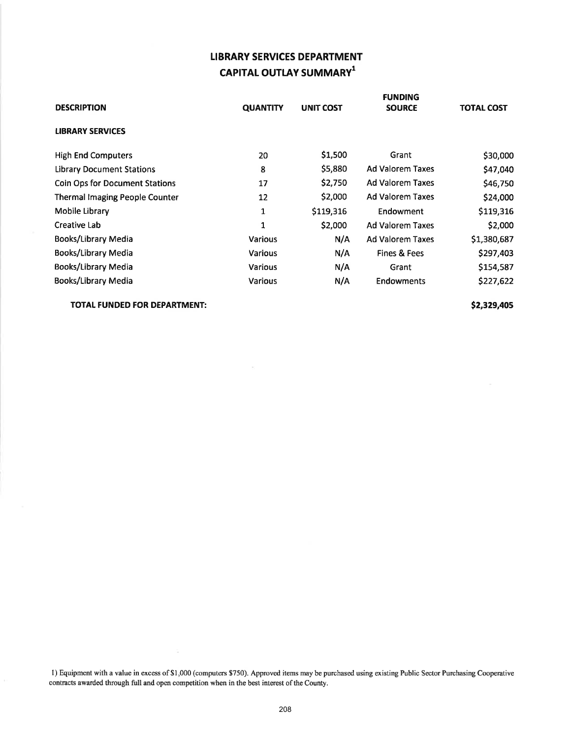# LIBRARY SERVICES DEPARTMENT CAPITAL OUTLAY SUMMARY<sup>1</sup>

| <b>DESCRIPTION</b>                    | <b>QUANTITY</b> | UNIT COST | <b>FUNDING</b><br><b>SOURCE</b> | <b>TOTAL COST</b> |
|---------------------------------------|-----------------|-----------|---------------------------------|-------------------|
| <b>LIBRARY SERVICES</b>               |                 |           |                                 |                   |
| <b>High End Computers</b>             | 20              | \$1,500   | Grant                           | \$30,000          |
| <b>Library Document Stations</b>      | 8               | \$5,880   | <b>Ad Valorem Taxes</b>         | \$47,040          |
| <b>Coin Ops for Document Stations</b> | 17              | \$2,750   | <b>Ad Valorem Taxes</b>         | \$46,750          |
| <b>Thermal Imaging People Counter</b> | 12              | \$2,000   | <b>Ad Valorem Taxes</b>         | \$24,000          |
| Mobile Library                        | 1               | \$119,316 | Endowment                       | \$119,316         |
| Creative Lab                          | 1               | \$2,000   | <b>Ad Valorem Taxes</b>         | \$2,000           |
| Books/Library Media                   | <b>Various</b>  | N/A       | <b>Ad Valorem Taxes</b>         | \$1,380,687       |
| <b>Books/Library Media</b>            | <b>Various</b>  | N/A       | Fines & Fees                    | \$297,403         |
| Books/Library Media                   | Various         | N/A       | Grant                           | \$154,587         |
| Books/Library Media                   | <b>Various</b>  | N/A       | <b>Endowments</b>               | \$227,622         |

 $\bar{\nu}$ 

TOTAL FUNDED FOR DEPARTMENT:  $$2,329,405$ 

l) Equipment with a value in excess of\$1,000 (computers \$750). Approved items may be purchased using existing Public Sector Purchasing Cooperative contracts awarded through full and open competition when in the best interest of the County.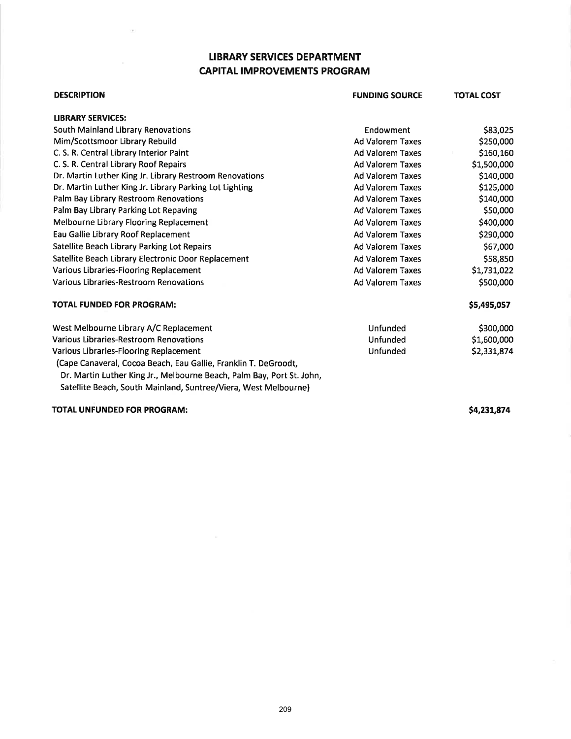## LIBRARY SERVICES DEPARTMENT CAPITAL IMPROVEMENTS PROGRAM

| <b>DESCRIPTION</b>                                                    | <b>FUNDING SOURCE</b>   | <b>TOTAL COST</b> |
|-----------------------------------------------------------------------|-------------------------|-------------------|
| <b>LIBRARY SERVICES:</b>                                              |                         |                   |
| South Mainland Library Renovations                                    | Endowment               | \$83,025          |
| Mim/Scottsmoor Library Rebuild                                        | <b>Ad Valorem Taxes</b> | \$250,000         |
| C. S. R. Central Library Interior Paint                               | <b>Ad Valorem Taxes</b> | \$160,160         |
| C. S. R. Central Library Roof Repairs                                 | <b>Ad Valorem Taxes</b> | \$1,500,000       |
| Dr. Martin Luther King Jr. Library Restroom Renovations               | <b>Ad Valorem Taxes</b> | \$140,000         |
| Dr. Martin Luther King Jr. Library Parking Lot Lighting               | <b>Ad Valorem Taxes</b> | \$125,000         |
| Palm Bay Library Restroom Renovations                                 | <b>Ad Valorem Taxes</b> | \$140,000         |
| Palm Bay Library Parking Lot Repaving                                 | <b>Ad Valorem Taxes</b> | \$50,000          |
| Melbourne Library Flooring Replacement                                | <b>Ad Valorem Taxes</b> | \$400,000         |
| Eau Gallie Library Roof Replacement                                   | <b>Ad Valorem Taxes</b> | \$290,000         |
| Satellite Beach Library Parking Lot Repairs                           | <b>Ad Valorem Taxes</b> | \$67,000          |
| Satellite Beach Library Electronic Door Replacement                   | <b>Ad Valorem Taxes</b> | \$58,850          |
| Various Libraries-Flooring Replacement                                | <b>Ad Valorem Taxes</b> | \$1,731,022       |
| Various Libraries-Restroom Renovations                                | <b>Ad Valorem Taxes</b> | \$500,000         |
| <b>TOTAL FUNDED FOR PROGRAM:</b>                                      |                         | \$5,495,057       |
| West Melbourne Library A/C Replacement                                | Unfunded                | \$300,000         |
| Various Libraries-Restroom Renovations                                | <b>Unfunded</b>         | \$1,600,000       |
| Various Libraries-Flooring Replacement                                | Unfunded                | \$2,331,874       |
| (Cape Canaveral, Cocoa Beach, Eau Gallie, Franklin T. DeGroodt,       |                         |                   |
| Dr. Martin Luther King Jr., Melbourne Beach, Palm Bay, Port St. John, |                         |                   |
|                                                                       |                         |                   |

Satellite Beach, South Mainland, Suntree/Viera, West Melbourne)

TOTAL UNFUNDED FOR PROGRAM:

 $(9)$ 

54,291,974